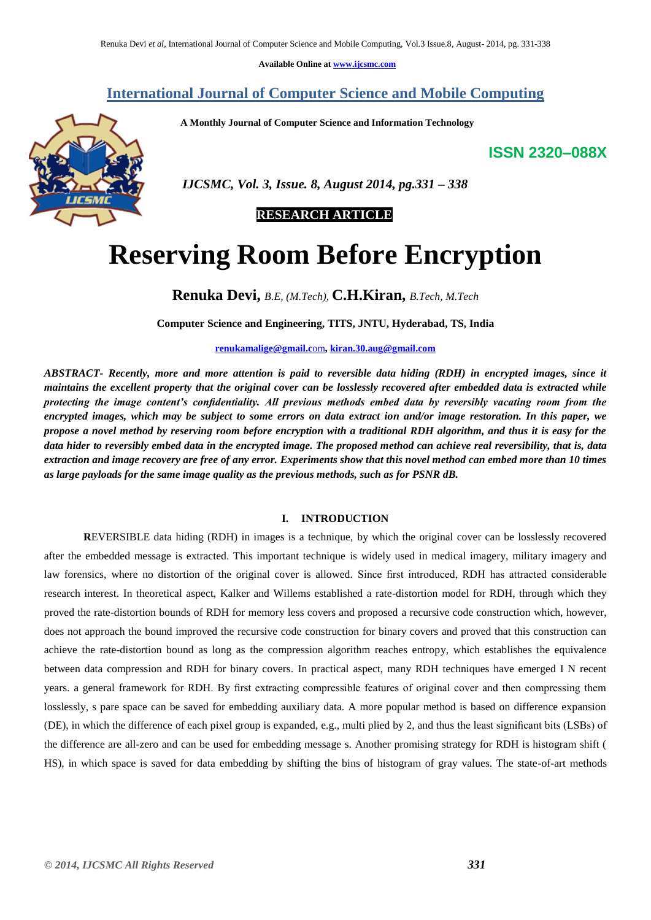**Available Online at [www.ijcsmc.com](http://www.ijcsmc.com/)**

## **International Journal of Computer Science and Mobile Computing**

 **A Monthly Journal of Computer Science and Information Technology**

# **ISSN 2320–088X**



 *IJCSMC, Vol. 3, Issue. 8, August 2014, pg.331 – 338*

## **RESEARCH ARTICLE**

# **Reserving Room Before Encryption**

**Renuka Devi,** *B.E, (M.Tech),* **C.H.Kiran,** *B.Tech, M.Tech*

**Computer Science and Engineering, TITS, JNTU, Hyderabad, TS, India**

**[renukamalige@gmail.c](mailto:renukamalige@gmail.com)**om**, [kiran.30.aug@gmail.com](mailto:kiran.30.aug@gmail.com)**

*ABSTRACT- Recently, more and more attention is paid to reversible data hiding (RDH) in encrypted images, since it maintains the excellent property that the original cover can be losslessly recovered after embedded data is extracted while protecting the image content's confidentiality. All previous methods embed data by reversibly vacating room from the encrypted images, which may be subject to some errors on data extract ion and/or image restoration. In this paper, we propose a novel method by reserving room before encryption with a traditional RDH algorithm, and thus it is easy for the data hider to reversibly embed data in the encrypted image. The proposed method can achieve real reversibility, that is, data extraction and image recovery are free of any error. Experiments show that this novel method can embed more than 10 times as large payloads for the same image quality as the previous methods, such as for PSNR dB.*

## **I. INTRODUCTION**

**R**EVERSIBLE data hiding (RDH) in images is a technique, by which the original cover can be losslessly recovered after the embedded message is extracted. This important technique is widely used in medical imagery, military imagery and law forensics, where no distortion of the original cover is allowed. Since first introduced, RDH has attracted considerable research interest. In theoretical aspect, Kalker and Willems established a rate-distortion model for RDH, through which they proved the rate-distortion bounds of RDH for memory less covers and proposed a recursive code construction which, however, does not approach the bound improved the recursive code construction for binary covers and proved that this construction can achieve the rate-distortion bound as long as the compression algorithm reaches entropy, which establishes the equivalence between data compression and RDH for binary covers. In practical aspect, many RDH techniques have emerged I N recent years. a general framework for RDH. By first extracting compressible features of original cover and then compressing them losslessly, s pare space can be saved for embedding auxiliary data. A more popular method is based on difference expansion (DE), in which the difference of each pixel group is expanded, e.g., multi plied by 2, and thus the least significant bits (LSBs) of the difference are all-zero and can be used for embedding message s. Another promising strategy for RDH is histogram shift ( HS), in which space is saved for data embedding by shifting the bins of histogram of gray values. The state-of-art methods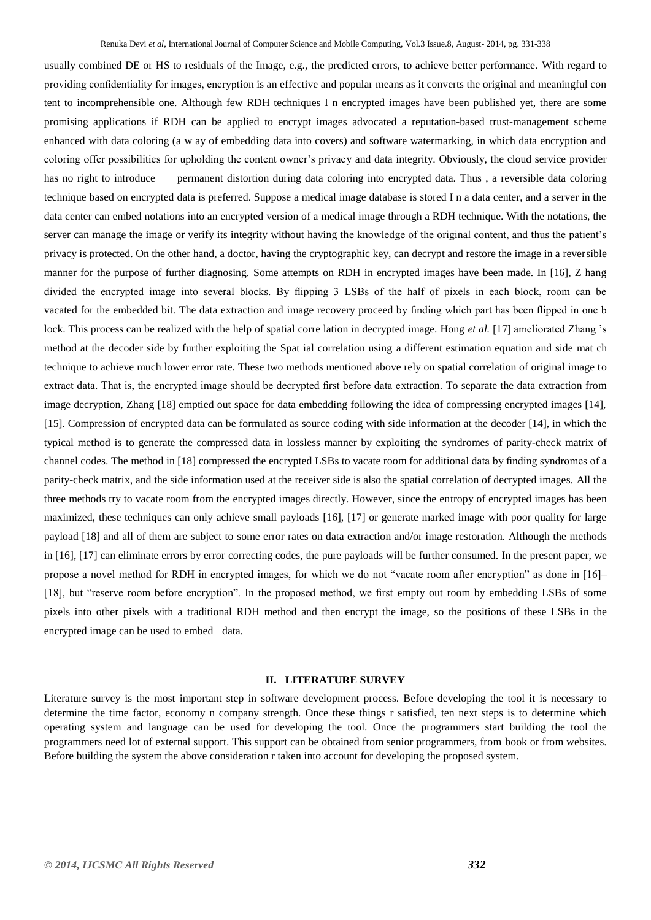usually combined DE or HS to residuals of the Image, e.g., the predicted errors, to achieve better performance. With regard to providing confidentiality for images, encryption is an effective and popular means as it converts the original and meaningful con tent to incomprehensible one. Although few RDH techniques I n encrypted images have been published yet, there are some promising applications if RDH can be applied to encrypt images advocated a reputation-based trust-management scheme enhanced with data coloring (a w ay of embedding data into covers) and software watermarking, in which data encryption and coloring offer possibilities for upholding the content owner's privacy and data integrity. Obviously, the cloud service provider has no right to introduce permanent distortion during data coloring into encrypted data. Thus , a reversible data coloring technique based on encrypted data is preferred. Suppose a medical image database is stored I n a data center, and a server in the data center can embed notations into an encrypted version of a medical image through a RDH technique. With the notations, the server can manage the image or verify its integrity without having the knowledge of the original content, and thus the patient's privacy is protected. On the other hand, a doctor, having the cryptographic key, can decrypt and restore the image in a reversible manner for the purpose of further diagnosing. Some attempts on RDH in encrypted images have been made. In [16], Z hang divided the encrypted image into several blocks. By flipping 3 LSBs of the half of pixels in each block, room can be vacated for the embedded bit. The data extraction and image recovery proceed by finding which part has been flipped in one b lock. This process can be realized with the help of spatial corre lation in decrypted image. Hong *et al.* [17] ameliorated Zhang 's method at the decoder side by further exploiting the Spat ial correlation using a different estimation equation and side mat ch technique to achieve much lower error rate. These two methods mentioned above rely on spatial correlation of original image to extract data. That is, the encrypted image should be decrypted first before data extraction. To separate the data extraction from image decryption, Zhang [18] emptied out space for data embedding following the idea of compressing encrypted images [14], [15]. Compression of encrypted data can be formulated as source coding with side information at the decoder [14], in which the typical method is to generate the compressed data in lossless manner by exploiting the syndromes of parity-check matrix of channel codes. The method in [18] compressed the encrypted LSBs to vacate room for additional data by finding syndromes of a parity-check matrix, and the side information used at the receiver side is also the spatial correlation of decrypted images. All the three methods try to vacate room from the encrypted images directly. However, since the entropy of encrypted images has been maximized, these techniques can only achieve small payloads [16], [17] or generate marked image with poor quality for large payload [18] and all of them are subject to some error rates on data extraction and/or image restoration. Although the methods in [16], [17] can eliminate errors by error correcting codes, the pure payloads will be further consumed. In the present paper, we propose a novel method for RDH in encrypted images, for which we do not "vacate room after encryption" as done in [16]– [18], but "reserve room before encryption". In the proposed method, we first empty out room by embedding LSBs of some pixels into other pixels with a traditional RDH method and then encrypt the image, so the positions of these LSBs in the encrypted image can be used to embed data.

## **II. LITERATURE SURVEY**

Literature [survey](http://www.blurtit.com/q876299.html) is the most important step in software development process. Before developing the tool it is necessary to determine the time factor, economy n company strength. Once these things r satisfied, ten next steps is to determine which operating system and language can be used for developing the tool. Once the [programmers](http://www.blurtit.com/q876299.html) start building the tool the programmers need lot of external support. This support can be obtained from senior programmers, from [book](http://www.blurtit.com/q876299.html) or from websites. Before building the system the above consideration r taken into account for developing the proposed system.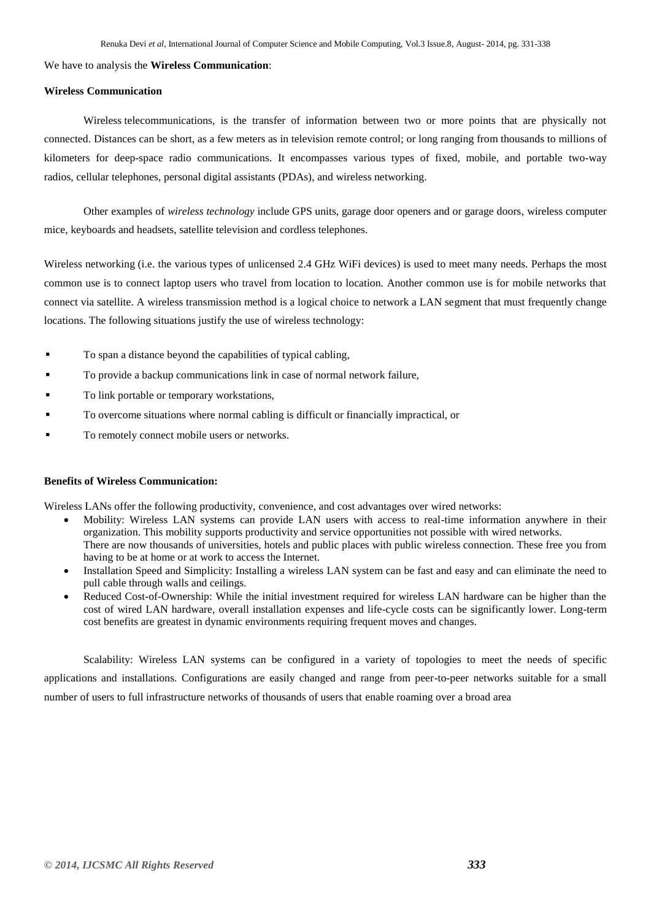## We have to analysis the **Wireless Communication**:

## **Wireless Communication**

Wireless [telecommunications,](http://en.wikipedia.org/wiki/Telecommunication) is the transfer of information between two or more points that are physically not connected. Distances can be short, as a few meters as in television remote control; or long ranging from thousands to millions of kilometers for deep-space radio communications. It encompasses various types of fixed, mobile, and portable [two-way](http://en.wikipedia.org/wiki/Two-way_radio)  [radios,](http://en.wikipedia.org/wiki/Two-way_radio) [cellular telephones,](http://en.wikipedia.org/wiki/Mobile_phone) [personal digital assistants](http://en.wikipedia.org/wiki/Personal_digital_assistant) (PDAs), and [wireless networking.](http://en.wikipedia.org/wiki/Wireless_network)

Other examples of *wireless technology* include [GPS](http://en.wikipedia.org/wiki/Global_Positioning_System) units, [garage door openers and or garage doors,](http://en.wikipedia.org/wiki/Garage_door_opener) wireless [computer](http://en.wikipedia.org/wiki/Mouse_(computing))  [mice,](http://en.wikipedia.org/wiki/Mouse_(computing)) [keyboards](http://en.wikipedia.org/wiki/Keyboard_(computing)) and [headsets,](http://en.wikipedia.org/wiki/Headset_(telephone/computer)) [satellite television](http://en.wikipedia.org/wiki/Satellite_television) and cordless [telephones.](http://en.wikipedia.org/wiki/Telephone)

[Wireless networking](http://en.wikipedia.org/wiki/Wireless_networking) (i.e. the various types of unlicensed 2.4 GHz WiFi devices) is used to meet many needs. Perhaps the most common use is to connect laptop users who travel from location to location. Another common use is for mobile networks that connect via satellite. A wireless transmission method is a logical choice to network a LAN segment that must frequently change locations. The following situations justify the use of wireless technology:

- To span a distance beyond the capabilities of typical cabling,
- To provide a backup communications link in case of normal network failure,
- To link portable or temporary workstations,
- To overcome situations where normal cabling is difficult or financially impractical, or
- To remotely connect mobile users or networks.

#### **Benefits of Wireless Communication:**

Wireless LANs offer the following productivity, convenience, and cost advantages over wired networks:

- Mobility: Wireless LAN systems can provide LAN users with access to real-time information anywhere in their organization. This mobility supports productivity and service opportunities not possible with wired networks. There are now thousands of universities, hotels and public places with public wireless connection. These free you from having to be at home or at work to access the Internet.
- Installation Speed and Simplicity: Installing a wireless LAN system can be fast and easy and can eliminate the need to pull cable through walls and ceilings.
- Reduced Cost-of-Ownership: While the initial investment required for wireless LAN hardware can be higher than the cost of wired LAN hardware, overall installation expenses and life-cycle costs can be significantly lower. Long-term cost benefits are greatest in dynamic environments requiring frequent moves and changes.

Scalability: Wireless LAN systems can be configured in a variety of topologies to meet the needs of specific applications and installations. Configurations are easily changed and range from peer-to-peer networks suitable for a small number of users to full infrastructure networks of thousands of users that enable roaming over a broad area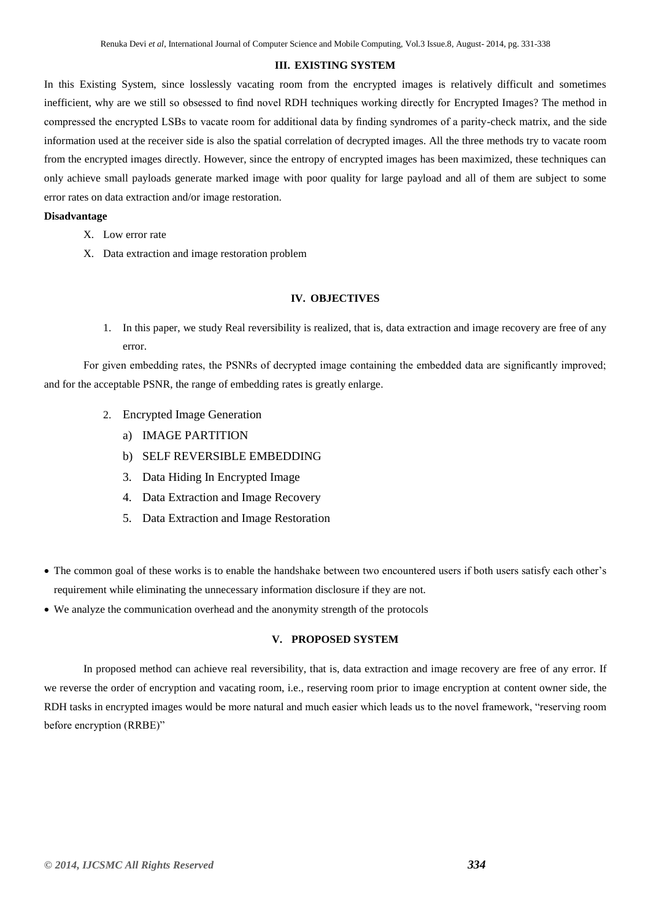## **III. EXISTING SYSTEM**

In this Existing System, since losslessly vacating room from the encrypted images is relatively difficult and sometimes inefficient, why are we still so obsessed to find novel RDH techniques working directly for Encrypted Images? The method in compressed the encrypted LSBs to vacate room for additional data by finding syndromes of a parity-check matrix, and the side information used at the receiver side is also the spatial correlation of decrypted images. All the three methods try to vacate room from the encrypted images directly. However, since the entropy of encrypted images has been maximized, these techniques can only achieve small payloads generate marked image with poor quality for large payload and all of them are subject to some error rates on data extraction and/or image restoration.

## **Disadvantage**

- X. Low error rate
- X. Data extraction and image restoration problem

## **IV. OBJECTIVES**

1. In this paper, we study Real reversibility is realized, that is, data extraction and image recovery are free of any error.

For given embedding rates, the PSNRs of decrypted image containing the embedded data are significantly improved; and for the acceptable PSNR, the range of embedding rates is greatly enlarge.

- 2. Encrypted Image Generation
	- a) IMAGE PARTITION
	- b) SELF REVERSIBLE EMBEDDING
	- 3. Data Hiding In Encrypted Image
	- 4. Data Extraction and Image Recovery
	- 5. Data Extraction and Image Restoration
- The common goal of these works is to enable the handshake between two encountered users if both users satisfy each other's requirement while eliminating the unnecessary information disclosure if they are not.
- We analyze the communication overhead and the anonymity strength of the protocols

## **V. PROPOSED SYSTEM**

In proposed method can achieve real reversibility, that is, data extraction and image recovery are free of any error. If we reverse the order of encryption and vacating room, i.e., reserving room prior to image encryption at content owner side, the RDH tasks in encrypted images would be more natural and much easier which leads us to the novel framework, "reserving room before encryption (RRBE)"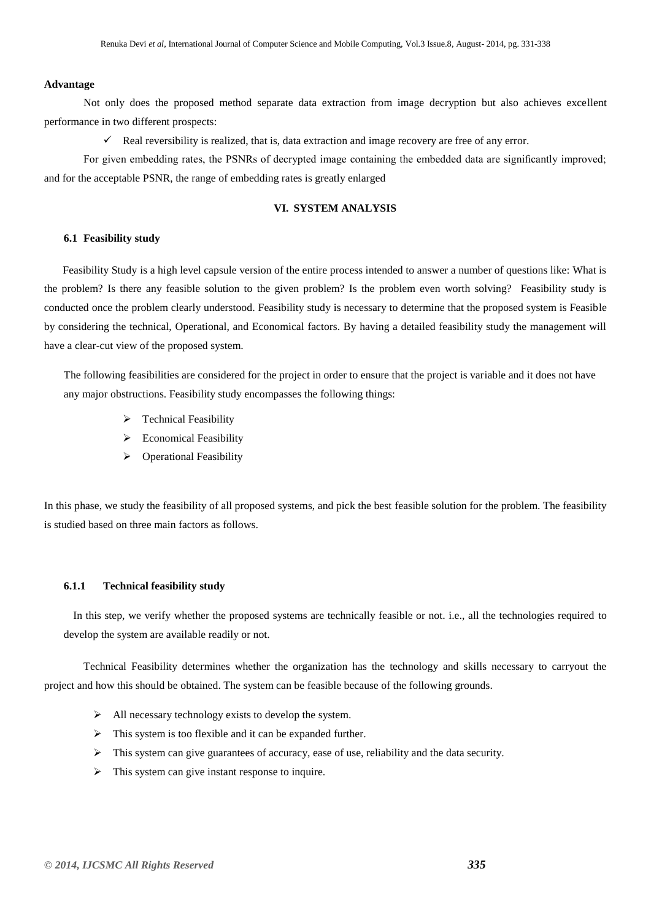## **Advantage**

Not only does the proposed method separate data extraction from image decryption but also achieves excellent performance in two different prospects:

 $\checkmark$  Real reversibility is realized, that is, data extraction and image recovery are free of any error.

For given embedding rates, the PSNRs of decrypted image containing the embedded data are significantly improved; and for the acceptable PSNR, the range of embedding rates is greatly enlarged

## **VI. SYSTEM ANALYSIS**

## **6.1 Feasibility study**

Feasibility Study is a high level capsule version of the entire process intended to answer a number of questions like: What is the problem? Is there any feasible solution to the given problem? Is the problem even worth solving? Feasibility study is conducted once the problem clearly understood. Feasibility study is necessary to determine that the proposed system is Feasible by considering the technical, Operational, and Economical factors. By having a detailed feasibility study the management will have a clear-cut view of the proposed system.

The following feasibilities are considered for the project in order to ensure that the project is variable and it does not have any major obstructions. Feasibility study encompasses the following things:

- $\triangleright$  Technical Feasibility
- $\triangleright$  Economical Feasibility
- Operational Feasibility

In this phase, we study the feasibility of all proposed systems, and pick the best feasible solution for the problem. The feasibility is studied based on three main factors as follows.

## **6.1.1 Technical feasibility study**

In this step, we verify whether the proposed systems are technically feasible or not. i.e., all the technologies required to develop the system are available readily or not.

Technical Feasibility determines whether the organization has the technology and skills necessary to carryout the project and how this should be obtained. The system can be feasible because of the following grounds.

- $\triangleright$  All necessary technology exists to develop the system.
- $\triangleright$  This system is too flexible and it can be expanded further.
- $\triangleright$  This system can give guarantees of accuracy, ease of use, reliability and the data security.
- $\triangleright$  This system can give instant response to inquire.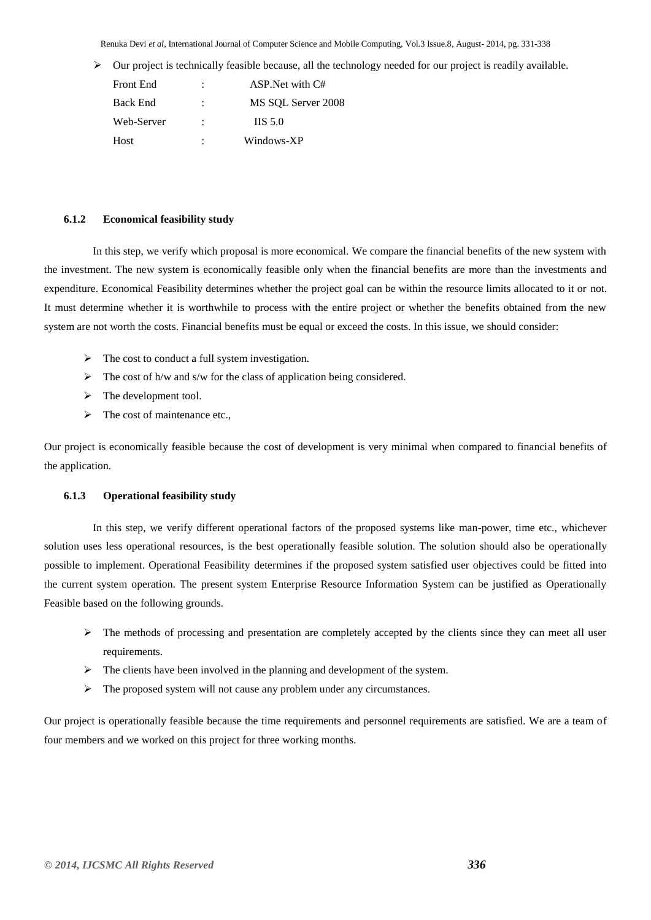Renuka Devi *et al*, International Journal of Computer Science and Mobile Computing, Vol.3 Issue.8, August- 2014, pg. 331-338

 $\triangleright$  Our project is technically feasible because, all the technology needed for our project is readily available.

| <b>Front End</b> |   | ASP. Net with C#      |
|------------------|---|-----------------------|
| <b>Back End</b>  |   | MS SOL Server 2008    |
| Web-Server       | ٠ | $\overline{1}$ IS 5.0 |
| Host             | ٠ | Windows-XP            |

## **6.1.2 Economical feasibility study**

In this step, we verify which proposal is more economical. We compare the financial benefits of the new system with the investment. The new system is economically feasible only when the financial benefits are more than the investments and expenditure. Economical Feasibility determines whether the project goal can be within the resource limits allocated to it or not. It must determine whether it is worthwhile to process with the entire project or whether the benefits obtained from the new system are not worth the costs. Financial benefits must be equal or exceed the costs. In this issue, we should consider:

- $\triangleright$  The cost to conduct a full system investigation.
- $\triangleright$  The cost of h/w and s/w for the class of application being considered.
- $\triangleright$  The development tool.
- $\triangleright$  The cost of maintenance etc.,

Our project is economically feasible because the cost of development is very minimal when compared to financial benefits of the application.

## **6.1.3 Operational feasibility study**

In this step, we verify different operational factors of the proposed systems like man-power, time etc., whichever solution uses less operational resources, is the best operationally feasible solution. The solution should also be operationally possible to implement. Operational Feasibility determines if the proposed system satisfied user objectives could be fitted into the current system operation. The present system Enterprise Resource Information System can be justified as Operationally Feasible based on the following grounds.

- $\triangleright$  The methods of processing and presentation are completely accepted by the clients since they can meet all user requirements.
- $\triangleright$  The clients have been involved in the planning and development of the system.
- $\triangleright$  The proposed system will not cause any problem under any circumstances.

Our project is operationally feasible because the time requirements and personnel requirements are satisfied. We are a team of four members and we worked on this project for three working months.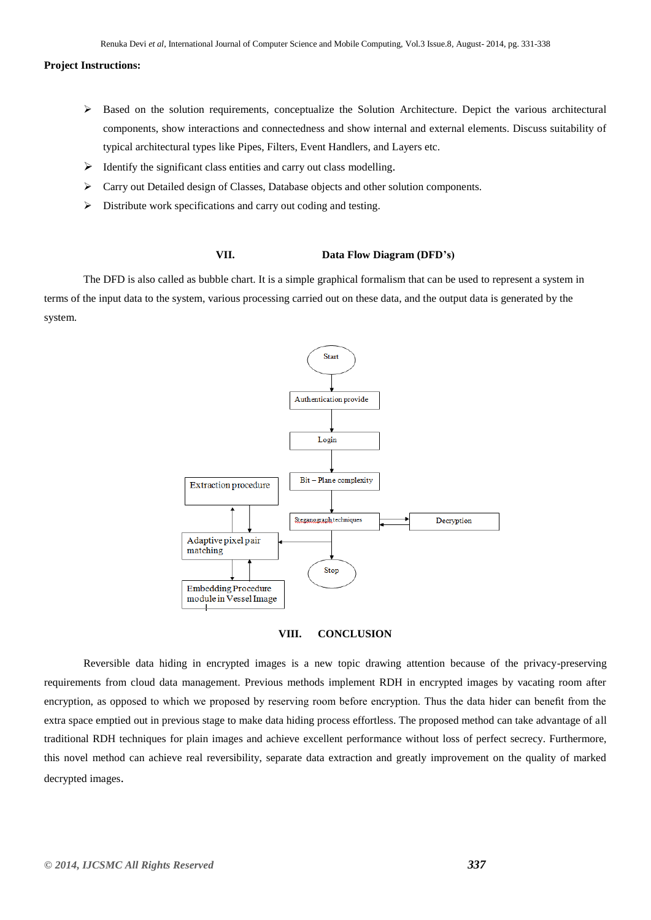## **Project Instructions:**

- $\triangleright$  Based on the solution requirements, conceptualize the Solution Architecture. Depict the various architectural components, show interactions and connectedness and show internal and external elements. Discuss suitability of typical architectural types like Pipes, Filters, Event Handlers, and Layers etc.
- $\triangleright$  Identify the significant class entities and carry out class modelling.
- $\triangleright$  Carry out Detailed design of Classes. Database objects and other solution components.
- $\triangleright$  Distribute work specifications and carry out coding and testing.

## **VII. Data Flow Diagram (DFD's)**

The DFD is also called as bubble chart. It is a simple graphical formalism that can be used to represent a system in terms of the input data to the system, various processing carried out on these data, and the output data is generated by the system.





Reversible data hiding in encrypted images is a new topic drawing attention because of the privacy-preserving requirements from cloud data management. Previous methods implement RDH in encrypted images by vacating room after encryption, as opposed to which we proposed by reserving room before encryption. Thus the data hider can benefit from the extra space emptied out in previous stage to make data hiding process effortless. The proposed method can take advantage of all traditional RDH techniques for plain images and achieve excellent performance without loss of perfect secrecy. Furthermore, this novel method can achieve real reversibility, separate data extraction and greatly improvement on the quality of marked decrypted images.